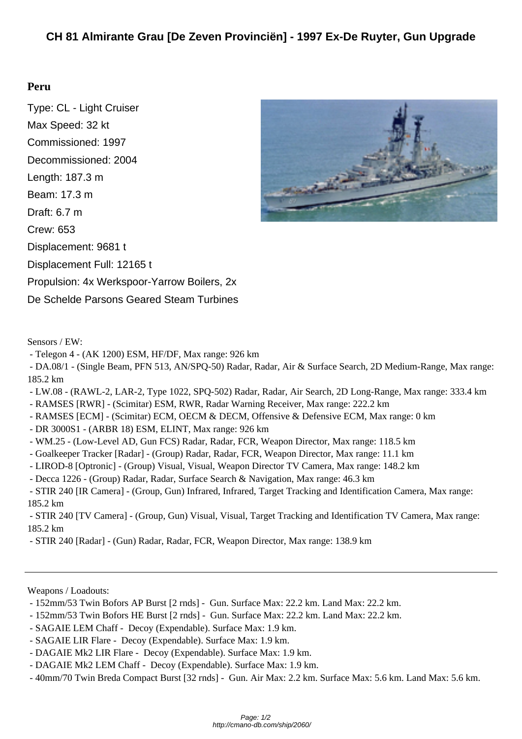## **Per[u](http://cmano-db.com/ship/2060/)**

Type: CL - Light Cruiser Max Speed: 32 kt Commissioned: 1997 Decommissioned: 2004 Length: 187.3 m Beam: 17.3 m Draft: 6.7 m Crew: 653 Displacement: 9681 t Displacement Full: 12165 t Propulsion: 4x Werkspoor-Yarrow Boilers, 2x De Schelde Parsons Geared Steam Turbines



- Telegon 4 - (AK 1200) ESM, HF/DF, Max range: 926 km

 - DA.08/1 - (Single Beam, PFN 513, AN/SPQ-50) Radar, Radar, Air & Surface Search, 2D Medium-Range, Max range: 185.2 km

- LW.08 (RAWL-2, LAR-2, Type 1022, SPQ-502) Radar, Radar, Air Search, 2D Long-Range, Max range: 333.4 km
- RAMSES [RWR] (Scimitar) ESM, RWR, Radar Warning Receiver, Max range: 222.2 km
- RAMSES [ECM] (Scimitar) ECM, OECM & DECM, Offensive & Defensive ECM, Max range: 0 km
- DR 3000S1 (ARBR 18) ESM, ELINT, Max range: 926 km
- WM.25 (Low-Level AD, Gun FCS) Radar, Radar, FCR, Weapon Director, Max range: 118.5 km
- Goalkeeper Tracker [Radar] (Group) Radar, Radar, FCR, Weapon Director, Max range: 11.1 km
- LIROD-8 [Optronic] (Group) Visual, Visual, Weapon Director TV Camera, Max range: 148.2 km
- Decca 1226 (Group) Radar, Radar, Surface Search & Navigation, Max range: 46.3 km

 - STIR 240 [IR Camera] - (Group, Gun) Infrared, Infrared, Target Tracking and Identification Camera, Max range: 185.2 km

 - STIR 240 [TV Camera] - (Group, Gun) Visual, Visual, Target Tracking and Identification TV Camera, Max range: 185.2 km

- STIR 240 [Radar] - (Gun) Radar, Radar, FCR, Weapon Director, Max range: 138.9 km

Weapons / Loadouts:

- 152mm/53 Twin Bofors AP Burst [2 rnds] Gun. Surface Max: 22.2 km. Land Max: 22.2 km.
- 152mm/53 Twin Bofors HE Burst [2 rnds] Gun. Surface Max: 22.2 km. Land Max: 22.2 km.
- SAGAIE LEM Chaff Decoy (Expendable). Surface Max: 1.9 km.
- SAGAIE LIR Flare Decoy (Expendable). Surface Max: 1.9 km.
- DAGAIE Mk2 LIR Flare Decoy (Expendable). Surface Max: 1.9 km.
- DAGAIE Mk2 LEM Chaff Decoy (Expendable). Surface Max: 1.9 km.
- 40mm/70 Twin Breda Compact Burst [32 rnds] Gun. Air Max: 2.2 km. Surface Max: 5.6 km. Land Max: 5.6 km.